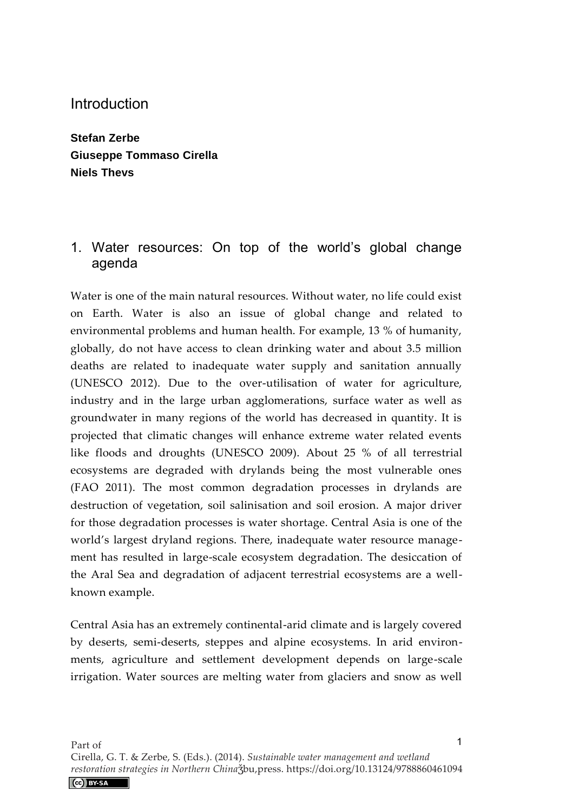**Stefan Zerbe Giuseppe Tommaso Cirella Niels Thevs** 

# 1. Water resources: On top of the world's global change agenda

Water is one of the main natural resources. Without water, no life could exist on Earth. Water is also an issue of global change and related to environmental problems and human health. For example, 13 % of humanity, globally, do not have access to clean drinking water and about 3.5 million deaths are related to inadequate water supply and sanitation annually (UNESCO 2012). Due to the over-utilisation of water for agriculture, industry and in the large urban agglomerations, surface water as well as groundwater in many regions of the world has decreased in quantity. It is projected that climatic changes will enhance extreme water related events like floods and droughts (UNESCO 2009). About 25 % of all terrestrial ecosystems are degraded with drylands being the most vulnerable ones (FAO 2011). The most common degradation processes in drylands are destruction of vegetation, soil salinisation and soil erosion. A major driver for those degradation processes is water shortage. Central Asia is one of the world's largest dryland regions. There, inadequate water resource management has resulted in large-scale ecosystem degradation. The desiccation of the Aral Sea and degradation of adjacent terrestrial ecosystems are a wellknown example.

Central Asia has an extremely continental-arid climate and is largely covered by deserts, semi-deserts, steppes and alpine ecosystems. In arid environments, agriculture and settlement development depends on large-scale irrigation. Water sources are melting water from glaciers and snow as well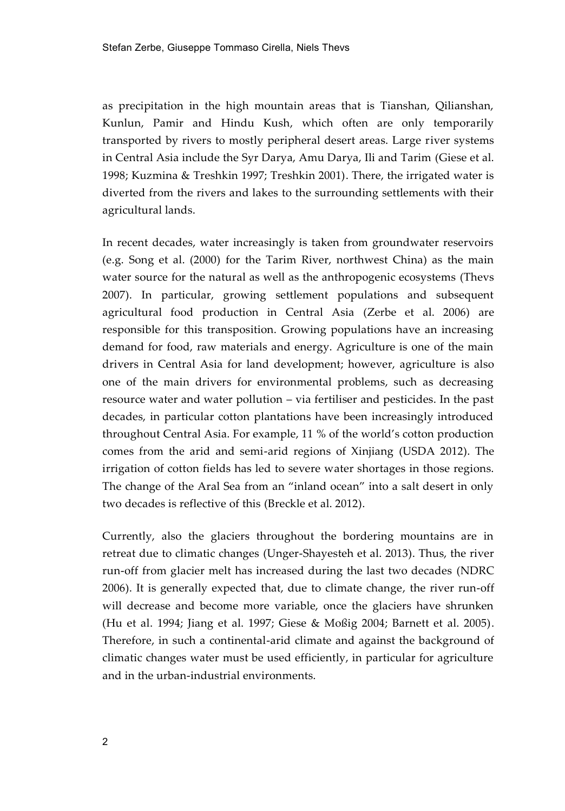as precipitation in the high mountain areas that is Tianshan, Qilianshan, Kunlun, Pamir and Hindu Kush, which often are only temporarily transported by rivers to mostly peripheral desert areas. Large river systems in Central Asia include the Syr Darya, Amu Darya, Ili and Tarim (Giese et al. 1998; Kuzmina & Treshkin 1997; Treshkin 2001). There, the irrigated water is diverted from the rivers and lakes to the surrounding settlements with their agricultural lands.

In recent decades, water increasingly is taken from groundwater reservoirs (e.g. Song et al. (2000) for the Tarim River, northwest China) as the main water source for the natural as well as the anthropogenic ecosystems (Thevs 2007). In particular, growing settlement populations and subsequent agricultural food production in Central Asia (Zerbe et al. 2006) are responsible for this transposition. Growing populations have an increasing demand for food, raw materials and energy. Agriculture is one of the main drivers in Central Asia for land development; however, agriculture is also one of the main drivers for environmental problems, such as decreasing resource water and water pollution – via fertiliser and pesticides. In the past decades, in particular cotton plantations have been increasingly introduced throughout Central Asia. For example, 11 % of the world's cotton production comes from the arid and semi-arid regions of Xinjiang (USDA 2012). The irrigation of cotton fields has led to severe water shortages in those regions. The change of the Aral Sea from an "inland ocean" into a salt desert in only two decades is reflective of this (Breckle et al. 2012).

Currently, also the glaciers throughout the bordering mountains are in retreat due to climatic changes (Unger-Shayesteh et al. 2013). Thus, the river run-off from glacier melt has increased during the last two decades (NDRC 2006). It is generally expected that, due to climate change, the river run-off will decrease and become more variable, once the glaciers have shrunken (Hu et al. 1994; Jiang et al. 1997; Giese & Moßig 2004; Barnett et al. 2005). Therefore, in such a continental-arid climate and against the background of climatic changes water must be used efficiently, in particular for agriculture and in the urban-industrial environments.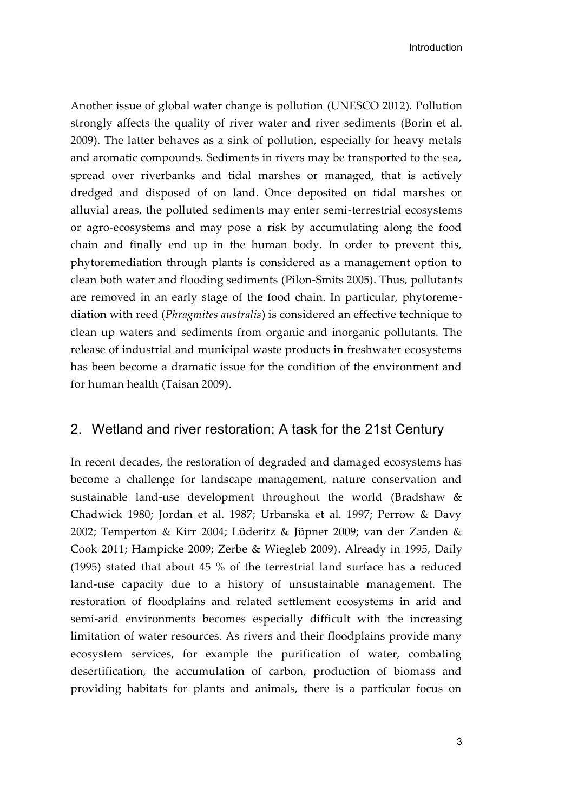Another issue of global water change is pollution (UNESCO 2012). Pollution strongly affects the quality of river water and river sediments (Borin et al. 2009). The latter behaves as a sink of pollution, especially for heavy metals and aromatic compounds. Sediments in rivers may be transported to the sea, spread over riverbanks and tidal marshes or managed, that is actively dredged and disposed of on land. Once deposited on tidal marshes or alluvial areas, the polluted sediments may enter semi-terrestrial ecosystems or agro-ecosystems and may pose a risk by accumulating along the food chain and finally end up in the human body. In order to prevent this, phytoremediation through plants is considered as a management option to clean both water and flooding sediments (Pilon-Smits 2005). Thus, pollutants are removed in an early stage of the food chain. In particular, phytoremediation with reed (*Phragmites australis*) is considered an effective technique to clean up waters and sediments from organic and inorganic pollutants. The release of industrial and municipal waste products in freshwater ecosystems has been become a dramatic issue for the condition of the environment and for human health (Taisan 2009).

### 2. Wetland and river restoration: A task for the 21st Century

In recent decades, the restoration of degraded and damaged ecosystems has become a challenge for landscape management, nature conservation and sustainable land-use development throughout the world (Bradshaw & Chadwick 1980; Jordan et al. 1987; Urbanska et al. 1997; Perrow & Davy 2002; Temperton & Kirr 2004; Lüderitz & Jüpner 2009; van der Zanden & Cook 2011; Hampicke 2009; Zerbe & Wiegleb 2009). Already in 1995, Daily (1995) stated that about 45 % of the terrestrial land surface has a reduced land-use capacity due to a history of unsustainable management. The restoration of floodplains and related settlement ecosystems in arid and semi-arid environments becomes especially difficult with the increasing limitation of water resources. As rivers and their floodplains provide many ecosystem services, for example the purification of water, combating desertification, the accumulation of carbon, production of biomass and providing habitats for plants and animals, there is a particular focus on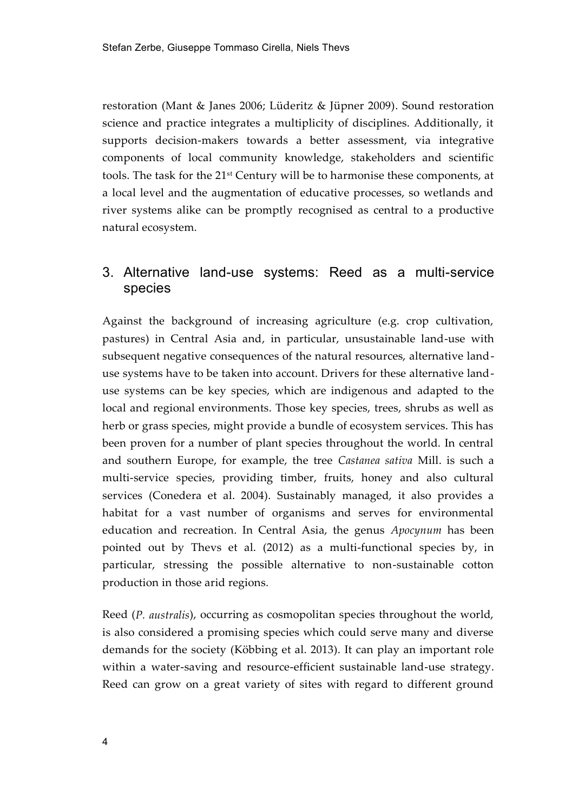restoration (Mant & Janes 2006; Lüderitz & Jüpner 2009). Sound restoration science and practice integrates a multiplicity of disciplines. Additionally, it supports decision-makers towards a better assessment, via integrative components of local community knowledge, stakeholders and scientific tools. The task for the 21st Century will be to harmonise these components, at a local level and the augmentation of educative processes, so wetlands and river systems alike can be promptly recognised as central to a productive natural ecosystem.

## 3. Alternative land-use systems: Reed as a multi-service species

Against the background of increasing agriculture (e.g. crop cultivation, pastures) in Central Asia and, in particular, unsustainable land-use with subsequent negative consequences of the natural resources, alternative landuse systems have to be taken into account. Drivers for these alternative landuse systems can be key species, which are indigenous and adapted to the local and regional environments. Those key species, trees, shrubs as well as herb or grass species, might provide a bundle of ecosystem services. This has been proven for a number of plant species throughout the world. In central and southern Europe, for example, the tree *Castanea sativa* Mill. is such a multi-service species, providing timber, fruits, honey and also cultural services (Conedera et al. 2004). Sustainably managed, it also provides a habitat for a vast number of organisms and serves for environmental education and recreation. In Central Asia, the genus *Apocynum* has been pointed out by Thevs et al. (2012) as a multi-functional species by, in particular, stressing the possible alternative to non-sustainable cotton production in those arid regions.

Reed (*P. australis*), occurring as cosmopolitan species throughout the world, is also considered a promising species which could serve many and diverse demands for the society (Köbbing et al. 2013). It can play an important role within a water-saving and resource-efficient sustainable land-use strategy. Reed can grow on a great variety of sites with regard to different ground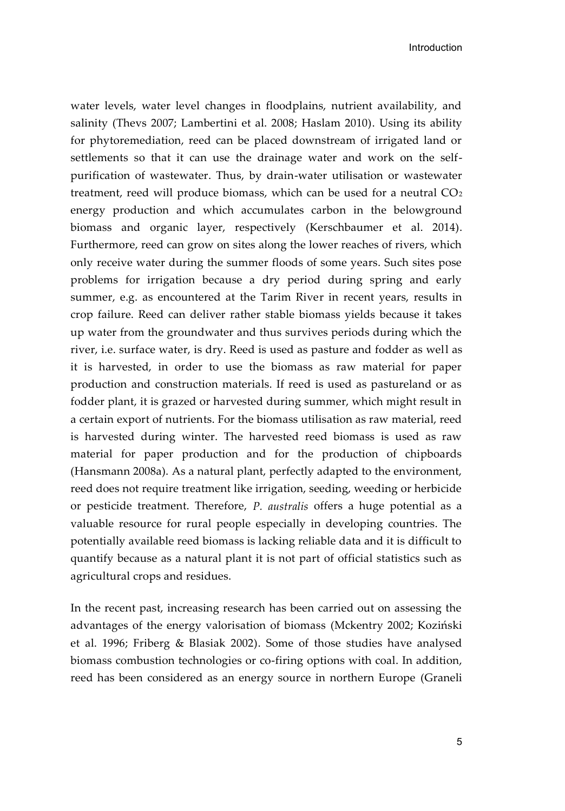water levels, water level changes in floodplains, nutrient availability, and salinity (Thevs 2007; Lambertini et al. 2008; Haslam 2010). Using its ability for phytoremediation, reed can be placed downstream of irrigated land or settlements so that it can use the drainage water and work on the selfpurification of wastewater. Thus, by drain-water utilisation or wastewater treatment, reed will produce biomass, which can be used for a neutral  $CO<sub>2</sub>$ energy production and which accumulates carbon in the belowground biomass and organic layer, respectively (Kerschbaumer et al. 2014). Furthermore, reed can grow on sites along the lower reaches of rivers, which only receive water during the summer floods of some years. Such sites pose problems for irrigation because a dry period during spring and early summer, e.g. as encountered at the Tarim River in recent years, results in crop failure. Reed can deliver rather stable biomass yields because it takes up water from the groundwater and thus survives periods during which the river, i.e. surface water, is dry. Reed is used as pasture and fodder as well as it is harvested, in order to use the biomass as raw material for paper production and construction materials. If reed is used as pastureland or as fodder plant, it is grazed or harvested during summer, which might result in a certain export of nutrients. For the biomass utilisation as raw material, reed is harvested during winter. The harvested reed biomass is used as raw material for paper production and for the production of chipboards (Hansmann 2008a). As a natural plant, perfectly adapted to the environment, reed does not require treatment like irrigation, seeding, weeding or herbicide or pesticide treatment. Therefore, *P. australis* offers a huge potential as a valuable resource for rural people especially in developing countries. The potentially available reed biomass is lacking reliable data and it is difficult to quantify because as a natural plant it is not part of official statistics such as agricultural crops and residues.

In the recent past, increasing research has been carried out on assessing the advantages of the energy valorisation of biomass (Mckentry 2002; Koziński et al. 1996; Friberg & Blasiak 2002). Some of those studies have analysed biomass combustion technologies or co-firing options with coal. In addition, reed has been considered as an energy source in northern Europe (Graneli

5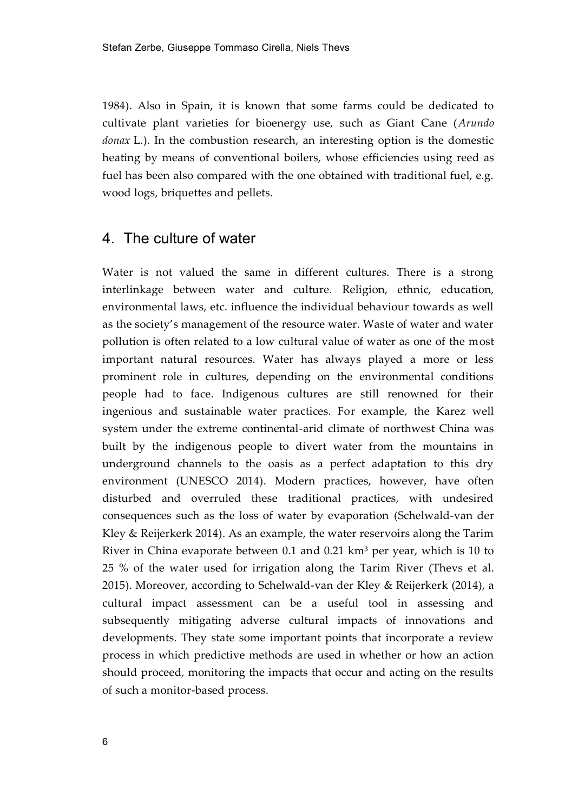1984). Also in Spain, it is known that some farms could be dedicated to cultivate plant varieties for bioenergy use, such as Giant Cane (*Arundo donax* L.). In the combustion research, an interesting option is the domestic heating by means of conventional boilers, whose efficiencies using reed as fuel has been also compared with the one obtained with traditional fuel, e.g. wood logs, briquettes and pellets.

### 4. The culture of water

Water is not valued the same in different cultures. There is a strong interlinkage between water and culture. Religion, ethnic, education, environmental laws, etc. influence the individual behaviour towards as well as the society's management of the resource water. Waste of water and water pollution is often related to a low cultural value of water as one of the most important natural resources. Water has always played a more or less prominent role in cultures, depending on the environmental conditions people had to face. Indigenous cultures are still renowned for their ingenious and sustainable water practices. For example, the Karez well system under the extreme continental-arid climate of northwest China was built by the indigenous people to divert water from the mountains in underground channels to the oasis as a perfect adaptation to this dry environment (UNESCO 2014). Modern practices, however, have often disturbed and overruled these traditional practices, with undesired consequences such as the loss of water by evaporation (Schelwald-van der Kley & Reijerkerk 2014). As an example, the water reservoirs along the Tarim River in China evaporate between 0.1 and 0.21  $km<sup>3</sup>$  per year, which is 10 to 25 % of the water used for irrigation along the Tarim River (Thevs et al. 2015). Moreover, according to Schelwald-van der Kley & Reijerkerk (2014), a cultural impact assessment can be a useful tool in assessing and subsequently mitigating adverse cultural impacts of innovations and developments. They state some important points that incorporate a review process in which predictive methods are used in whether or how an action should proceed, monitoring the impacts that occur and acting on the results of such a monitor-based process.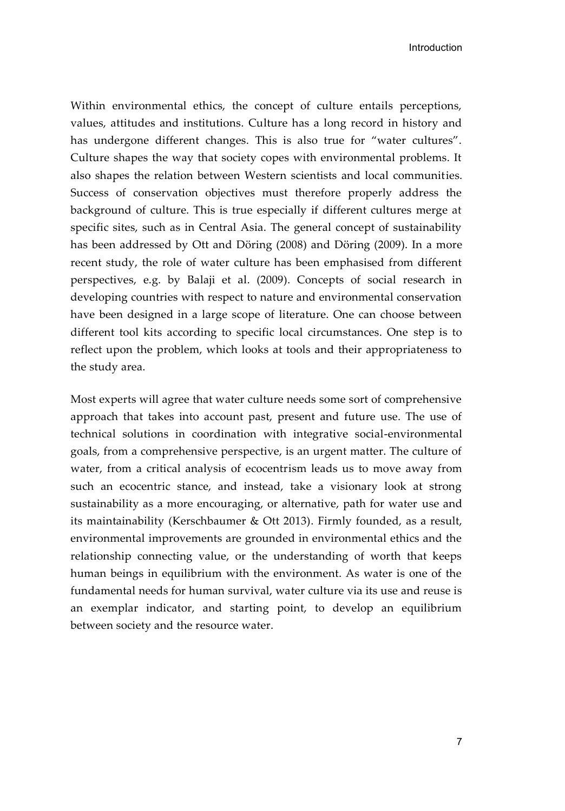Within environmental ethics, the concept of culture entails perceptions, values, attitudes and institutions. Culture has a long record in history and has undergone different changes. This is also true for "water cultures". Culture shapes the way that society copes with environmental problems. It also shapes the relation between Western scientists and local communities. Success of conservation objectives must therefore properly address the background of culture. This is true especially if different cultures merge at specific sites, such as in Central Asia. The general concept of sustainability has been addressed by Ott and Döring (2008) and Döring (2009). In a more recent study, the role of water culture has been emphasised from different perspectives, e.g. by Balaji et al. (2009). Concepts of social research in developing countries with respect to nature and environmental conservation have been designed in a large scope of literature. One can choose between different tool kits according to specific local circumstances. One step is to reflect upon the problem, which looks at tools and their appropriateness to the study area.

Most experts will agree that water culture needs some sort of comprehensive approach that takes into account past, present and future use. The use of technical solutions in coordination with integrative social-environmental goals, from a comprehensive perspective, is an urgent matter. The culture of water, from a critical analysis of ecocentrism leads us to move away from such an ecocentric stance, and instead, take a visionary look at strong sustainability as a more encouraging, or alternative, path for water use and its maintainability (Kerschbaumer & Ott 2013). Firmly founded, as a result, environmental improvements are grounded in environmental ethics and the relationship connecting value, or the understanding of worth that keeps human beings in equilibrium with the environment. As water is one of the fundamental needs for human survival, water culture via its use and reuse is an exemplar indicator, and starting point, to develop an equilibrium between society and the resource water.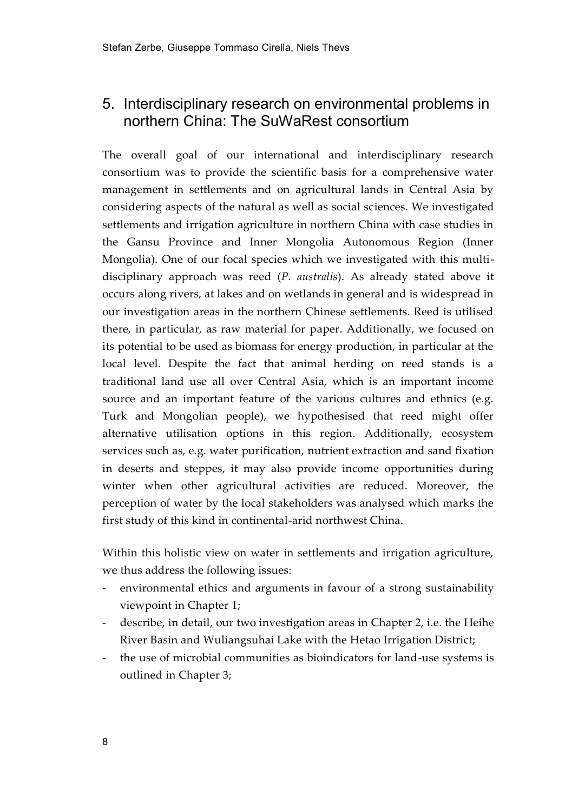# 5. Interdisciplinary research on environmental problems in northern China: The SuWaRest consortium

The overall goal of our international and interdisciplinary research consortium was to provide the scientific basis for a comprehensive water management in settlements and on agricultural lands in Central Asia by considering aspects of the natural as well as social sciences. We investigated settlements and irrigation agriculture in northern China with case studies in the Gansu Province and Inner Mongolia Autonomous Region (Inner Mongolia). One of our focal species which we investigated with this multidisciplinary approach was reed (*P. australis*). As already stated above it occurs along rivers, at lakes and on wetlands in general and is widespread in our investigation areas in the northern Chinese settlements. Reed is utilised there, in particular, as raw material for paper. Additionally, we focused on its potential to be used as biomass for energy production, in particular at the local level. Despite the fact that animal herding on reed stands is a traditional land use all over Central Asia, which is an important income source and an important feature of the various cultures and ethnics (e.g. Turk and Mongolian people), we hypothesised that reed might offer alternative utilisation options in this region. Additionally, ecosystem services such as, e.g. water purification, nutrient extraction and sand fixation in deserts and steppes, it may also provide income opportunities during winter when other agricultural activities are reduced. Moreover, the perception of water by the local stakeholders was analysed which marks the first study of this kind in continental-arid northwest China.

Within this holistic view on water in settlements and irrigation agriculture, we thus address the following issues:

- environmental ethics and arguments in favour of a strong sustainability viewpoint in Chapter 1;
- describe, in detail, our two investigation areas in Chapter 2, i.e. the Heihe River Basin and Wuliangsuhai Lake with the Hetao Irrigation District;
- the use of microbial communities as bioindicators for land-use systems is outlined in Chapter 3;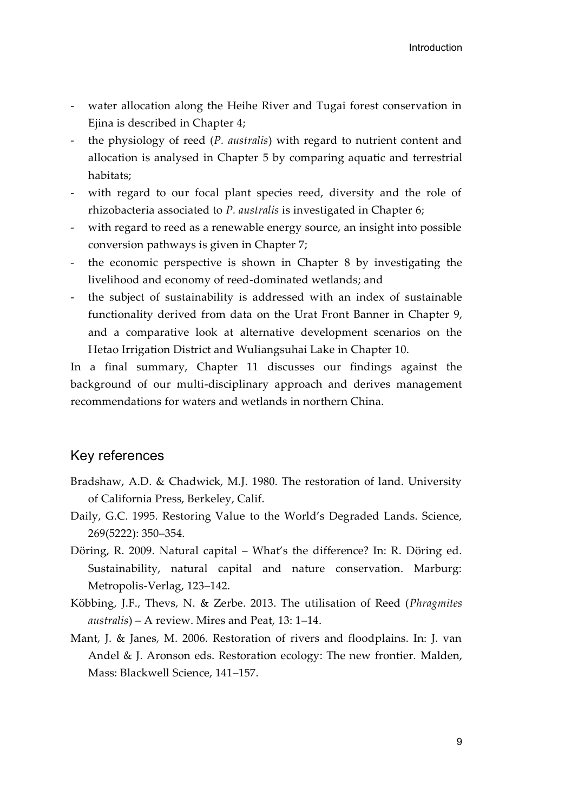- water allocation along the Heihe River and Tugai forest conservation in Ejina is described in Chapter 4;
- the physiology of reed (*P. australis*) with regard to nutrient content and allocation is analysed in Chapter 5 by comparing aquatic and terrestrial habitats;
- with regard to our focal plant species reed, diversity and the role of rhizobacteria associated to *P. australis* is investigated in Chapter 6;
- with regard to reed as a renewable energy source, an insight into possible conversion pathways is given in Chapter 7;
- the economic perspective is shown in Chapter 8 by investigating the livelihood and economy of reed-dominated wetlands; and
- the subject of sustainability is addressed with an index of sustainable functionality derived from data on the Urat Front Banner in Chapter 9, and a comparative look at alternative development scenarios on the Hetao Irrigation District and Wuliangsuhai Lake in Chapter 10.

In a final summary, Chapter 11 discusses our findings against the background of our multi-disciplinary approach and derives management recommendations for waters and wetlands in northern China.

### Key references

- Bradshaw, A.D. & Chadwick, M.J. 1980. The restoration of land. University of California Press, Berkeley, Calif.
- Daily, G.C. 1995. Restoring Value to the World's Degraded Lands. Science, 269(5222): 350–354.
- Döring, R. 2009. Natural capital What's the difference? In: R. Döring ed. Sustainability, natural capital and nature conservation. Marburg: Metropolis-Verlag, 123–142.
- Köbbing, J.F., Thevs, N. & Zerbe. 2013. The utilisation of Reed (*Phragmites australis*) – A review. Mires and Peat, 13: 1–14.
- Mant, J. & Janes, M. 2006. Restoration of rivers and floodplains. In: J. van Andel & J. Aronson eds. Restoration ecology: The new frontier. Malden, Mass: Blackwell Science, 141–157.